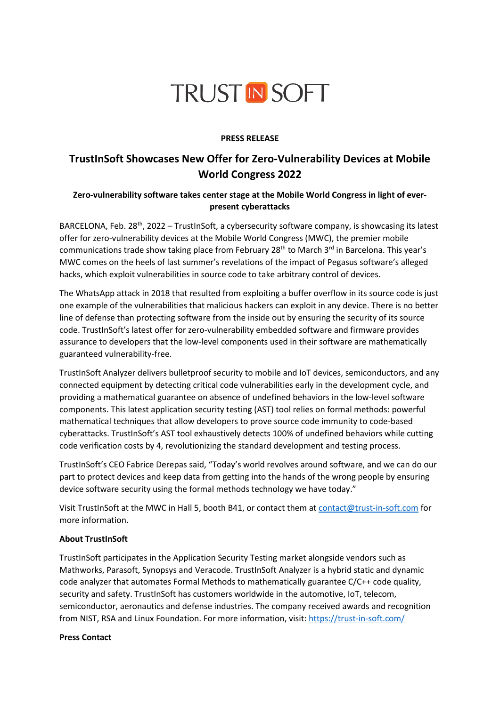# **TRUST IN SOFT**

### **PRESS RELEASE**

# **TrustInSoft Showcases New Offer for Zero-Vulnerability Devices at Mobile World Congress 2022**

## **Zero-vulnerability software takes center stage at the Mobile World Congress in light of everpresent cyberattacks**

BARCELONA, Feb. 28<sup>th</sup>, 2022 – TrustInSoft, a cybersecurity software company, is showcasing its latest offer for zero-vulnerability devices at the Mobile World Congress (MWC), the premier mobile communications trade show taking place from February 28<sup>th</sup> to March 3<sup>rd</sup> in Barcelona. This year's MWC comes on the heels of last summer's revelations of the impact of Pegasus software's alleged hacks, which exploit vulnerabilities in source code to take arbitrary control of devices.

The WhatsApp attack in 2018 that resulted from exploiting a buffer overflow in its source code is just one example of the vulnerabilities that malicious hackers can exploit in any device. There is no better line of defense than protecting software from the inside out by ensuring the security of its source code. TrustInSoft's latest offer for zero-vulnerability embedded software and firmware provides assurance to developers that the low-level components used in their software are mathematically guaranteed vulnerability-free.

TrustInSoft Analyzer delivers bulletproof security to mobile and IoT devices, semiconductors, and any connected equipment by detecting critical code vulnerabilities early in the development cycle, and providing a mathematical guarantee on absence of undefined behaviors in the low-level software components. This latest application security testing (AST) tool relies on formal methods: powerful mathematical techniques that allow developers to prove source code immunity to code-based cyberattacks. TrustInSoft's AST tool exhaustively detects 100% of undefined behaviors while cutting code verification costs by 4, revolutionizing the standard development and testing process.

TrustInSoft's CEO Fabrice Derepas said, "Today's world revolves around software, and we can do our part to protect devices and keep data from getting into the hands of the wrong people by ensuring device software security using the formal methods technology we have today."

Visit TrustInSoft at the MWC in Hall 5, booth B41, or contact them at [contact@trust-in-soft.com](mailto:contact@trust-in-soft.com) for more information.

#### **About TrustInSoft**

TrustInSoft participates in the Application Security Testing market alongside vendors such as Mathworks, Parasoft, Synopsys and Veracode. TrustInSoft Analyzer is a hybrid static and dynamic code analyzer that automates Formal Methods to mathematically guarantee C/C++ code quality, security and safety. TrustInSoft has customers worldwide in the automotive, IoT, telecom, semiconductor, aeronautics and defense industries. The company received awards and recognition from NIST, RSA and Linux Foundation. For more information, visit: <https://trust-in-soft.com/>

#### **Press Contact**